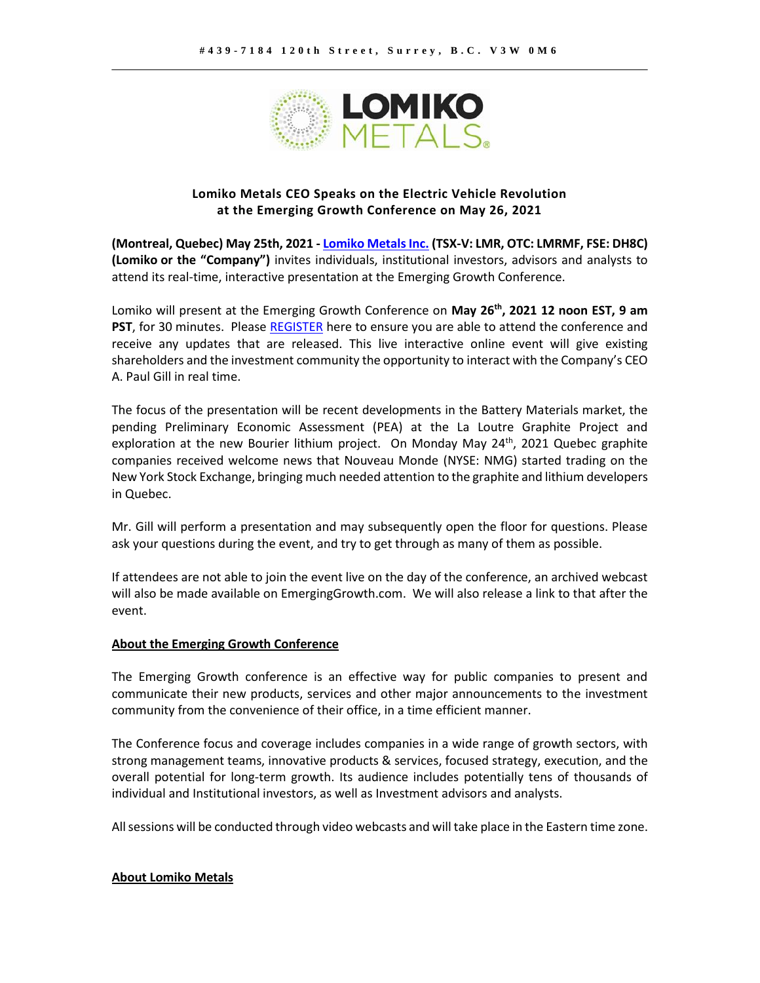

## **Lomiko Metals CEO Speaks on the Electric Vehicle Revolution at the Emerging Growth Conference on May 26, 2021**

**(Montreal, Quebec) May 25th, 2021 - [Lomiko Metals Inc.](https://www.lomiko.com/) (TSX-V: LMR, OTC: LMRMF, FSE: DH8C) (Lomiko or the "Company")** invites individuals, institutional investors, advisors and analysts to attend its real-time, interactive presentation at the Emerging Growth Conference.

Lomiko will present at the Emerging Growth Conference on **May 26th, 2021 12 noon EST, 9 am PST**, for 30 minutes. Please [REGISTER](https://goto.webcasts.com/starthere.jsp?ei=1465229&tp_key=acb55f1b36&sti=lmrmf) here to ensure you are able to attend the conference and receive any updates that are released. This live interactive online event will give existing shareholders and the investment community the opportunity to interact with the Company's CEO A. Paul Gill in real time.

The focus of the presentation will be recent developments in the Battery Materials market, the pending Preliminary Economic Assessment (PEA) at the La Loutre Graphite Project and exploration at the new Bourier lithium project. On Monday May  $24<sup>th</sup>$ , 2021 Quebec graphite companies received welcome news that Nouveau Monde (NYSE: NMG) started trading on the New York Stock Exchange, bringing much needed attention to the graphite and lithium developers in Quebec.

Mr. Gill will perform a presentation and may subsequently open the floor for questions. Please ask your questions during the event, and try to get through as many of them as possible.

If attendees are not able to join the event live on the day of the conference, an archived webcast will also be made available on EmergingGrowth.com. We will also release a link to that after the event.

## **About the Emerging Growth Conference**

The Emerging Growth conference is an effective way for public companies to present and communicate their new products, services and other major announcements to the investment community from the convenience of their office, in a time efficient manner.

The Conference focus and coverage includes companies in a wide range of growth sectors, with strong management teams, innovative products & services, focused strategy, execution, and the overall potential for long-term growth. Its audience includes potentially tens of thousands of individual and Institutional investors, as well as Investment advisors and analysts.

All sessions will be conducted through video webcasts and will take place in the Eastern time zone.

## **About Lomiko Metals**